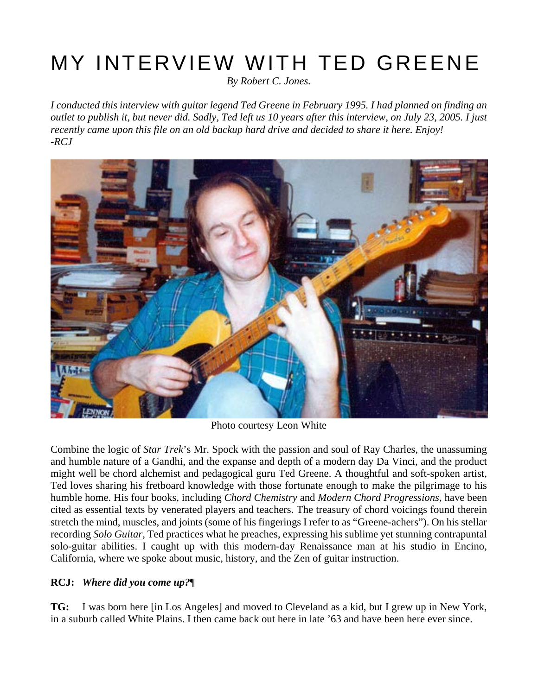# MY INTERVIEW WITH TED GREENE

*By Robert C. Jones.*

I conducted this interview with guitar legend Ted Greene in February 1995. I had planned on finding an outlet to publish it, but never did. Sadly, Ted left us 10 years after this interview, on July 23, 2005. I just *recently came upon this file on an old backup hard drive and decided to share it here. Enjoy! -RCJ*



Photo courtesy Leon White

Combine the logic of *Star Trek*'s Mr. Spock with the passion and soul of Ray Charles, the unassuming and humble nature of a Gandhi, and the expanse and depth of a modern day Da Vinci, and the product might well be chord alchemist and pedagogical guru Ted Greene. A thoughtful and soft-spoken artist, Ted loves sharing his fretboard knowledge with those fortunate enough to make the pilgrimage to his humble home. His four books, including *Chord [Chemistry](http://www.alfred.com/Products/Ted-Greene-Chord-Chemistry--00-EL02778.aspx)* and *Modern Chord [Progressions](http://www.alfred.com/Products/Ted-Greene-Modern-Chord-Progressions--00-EL02779.aspx)*, have been cited as essential texts by venerated players and teachers. The treasury of chord voicings found therein stretch the mind, muscles, and joints (some of his fingerings I refer to as "Greene-achers"). On his stellar recording *Solo [Guitar](http://www.artofliferecords.com/tedgreene.html)*, Ted practices what he preaches, expressing his sublime yet stunning contrapuntal solo-guitar abilities. I caught up with this modern-day Renaissance man at his studio in Encino, California, where we spoke about music, history, and the Zen of guitar instruction.

#### **RCJ:** *Where did you come up?*¶

**TG:** I was born here [in Los Angeles] and moved to Cleveland as a kid, but I grew up in New York, in a suburb called White Plains. I then came back out here in late '63 and have been here ever since.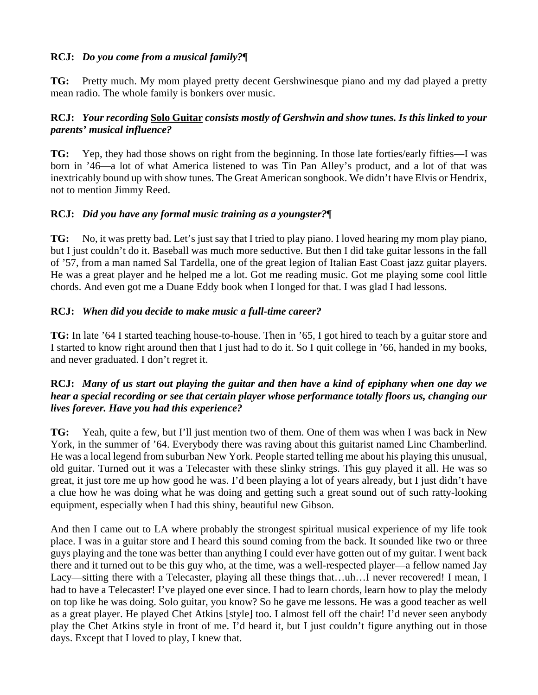### **RCJ:** *Do you come from a musical family?*¶

**TG:** Pretty much. My mom played pretty decent Gershwinesque piano and my dad played a pretty mean radio. The whole family is bonkers over music.

## **RCJ:** *Your recording* **Solo [Guitar](http://www.artofliferecords.com/tedgreene.html)** *consists mostly of Gershwin and show tunes. Is this linked to your parents' musical influence?*

**TG:** Yep, they had those shows on right from the beginning. In those late forties/early fifties—I was born in '46—a lot of what America listened to was Tin Pan Alley's product, and a lot of that was inextricably bound up with show tunes. The Great American songbook. We didn't have Elvis or Hendrix, not to mention Jimmy Reed.

## **RCJ:** *Did you have any formal music training as a youngster?*¶

**TG:** No, it was pretty bad. Let's just say that I tried to play piano. I loved hearing my mom play piano, but I just couldn't do it. Baseball was much more seductive. But then I did take guitar lessons in the fall of '57, from a man named Sal Tardella, one of the great legion of Italian East Coast jazz guitar players. He was a great player and he helped me a lot. Got me reading music. Got me playing some cool little chords. And even got me a Duane Eddy book when I longed for that. I was glad I had lessons.

## **RCJ:** *When did you decide to make music a full-time career?*

**TG:** In late '64 I started teaching house-to-house. Then in '65, I got hired to teach by a guitar store and I started to know right around then that I just had to do it. So I quit college in '66, handed in my books, and never graduated. I don't regret it.

#### **RCJ**: Many of us start out playing the guitar and then have a kind of epiphany when one day we *hear a special recording or see that certain player whose performance totally floors us, changing our lives forever. Have you had this experience?*

**TG:** Yeah, quite a few, but I'll just mention two of them. One of them was when I was back in New York, in the summer of '64. Everybody there was raving about this guitarist named Linc Chamberlind. He was a local legend from suburban New York. People started telling me about his playing this unusual, old guitar. Turned out it was a Telecaster with these slinky strings. This guy played it all. He was so great, it just tore me up how good he was. I'd been playing a lot of years already, but I just didn't have a clue how he was doing what he was doing and getting such a great sound out of such ratty-looking equipment, especially when I had this shiny, beautiful new Gibson.

And then I came out to LA where probably the strongest spiritual musical experience of my life took place. I was in a guitar store and I heard this sound coming from the back. It sounded like two or three guys playing and the tone was better than anything I could ever have gotten out of my guitar. I went back there and it turned out to be this guy who, at the time, was a well-respected player—a fellow named Jay Lacy—sitting there with a Telecaster, playing all these things that…uh…I never recovered! I mean, I had to have a Telecaster! I've played one ever since. I had to learn chords, learn how to play the melody on top like he was doing. Solo guitar, you know? So he gave me lessons. He was a good teacher as well as a great player. He played Chet Atkins [style] too. I almost fell off the chair! I'd never seen anybody play the Chet Atkins style in front of me. I'd heard it, but I just couldn't figure anything out in those days. Except that I loved to play, I knew that.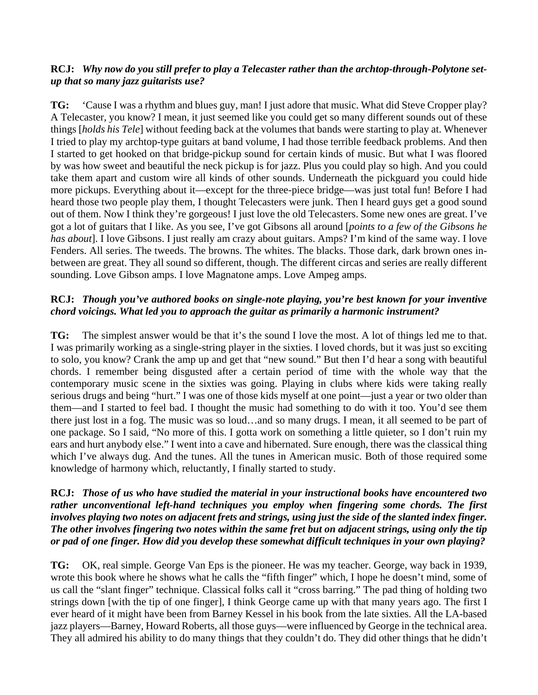### **RCJ:** *Why now do you still prefer to play a Telecaster rather than the archtop-through-Polytone setup that so many jazz guitarists use?*

**TG:** 'Cause I was a rhythm and blues guy, man! I just adore that music. What did Steve Cropper play? A Telecaster, you know? I mean, it just seemed like you could get so many different sounds out of these things [*holds his Tele*] without feeding back at the volumes that bands were starting to play at. Whenever I tried to play my archtop-type guitars at band volume, I had those terrible feedback problems. And then I started to get hooked on that bridge-pickup sound for certain kinds of music. But what I was floored by was how sweet and beautiful the neck pickup is for jazz. Plus you could play so high. And you could take them apart and custom wire all kinds of other sounds. Underneath the pickguard you could hide more pickups. Everything about it—except for the three-piece bridge—was just total fun! Before I had heard those two people play them, I thought Telecasters were junk. Then I heard guys get a good sound out of them. Now I think they're gorgeous! I just love the old Telecasters. Some new ones are great. I've got a lot of guitars that I like. As you see, I've got Gibsons all around [*points to a few of the Gibsons he has about*]. I love Gibsons. I just really am crazy about guitars. Amps? I'm kind of the same way. I love Fenders. All series. The tweeds. The browns. The whites. The blacks. Those dark, dark brown ones inbetween are great. They all sound so different, though. The different circas and series are really different sounding. Love Gibson amps. I love Magnatone amps. Love Ampeg amps.

#### **RCJ:** *Though you've authored books on single-note playing, you're best known for your inventive chord voicings. What led you to approach the guitar as primarily a harmonic instrument?*

**TG:** The simplest answer would be that it's the sound I love the most. A lot of things led me to that. I was primarily working as a single-string player in the sixties. I loved chords, but it was just so exciting to solo, you know? Crank the amp up and get that "new sound." But then I'd hear a song with beautiful chords. I remember being disgusted after a certain period of time with the whole way that the contemporary music scene in the sixties was going. Playing in clubs where kids were taking really serious drugs and being "hurt." I was one of those kids myself at one point—just a year or two older than them—and I started to feel bad. I thought the music had something to do with it too. You'd see them there just lost in a fog. The music was so loud…and so many drugs. I mean, it all seemed to be part of one package. So I said, "No more of this. I gotta work on something a little quieter, so I don't ruin my ears and hurt anybody else." I went into a cave and hibernated. Sure enough, there was the classical thing which I've always dug. And the tunes. All the tunes in American music. Both of those required some knowledge of harmony which, reluctantly, I finally started to study.

#### **RCJ:** *Those of us who have studied the material in your instructional books have encountered two rather unconventional left-hand techniques you employ when fingering some chords. The first* involves playing two notes on adjacent frets and strings, using just the side of the slanted index finger. The other involves fingering two notes within the same fret but on adjacent strings, using only the tip *or pad of one finger. How did you develop these somewhat difficult techniques in your own playing?*

**TG:** OK, real simple. George Van Eps is the pioneer. He was my teacher. George, way back in 1939, wrote this book where he shows what he calls the "fifth finger" which, I hope he doesn't mind, some of us call the "slant finger" technique. Classical folks call it "cross barring." The pad thing of holding two strings down [with the tip of one finger], I think George came up with that many years ago. The first I ever heard of it might have been from Barney Kessel in his book from the late sixties. All the LA-based jazz players—Barney, Howard Roberts, all those guys—were influenced by George in the technical area. They all admired his ability to do many things that they couldn't do. They did other things that he didn't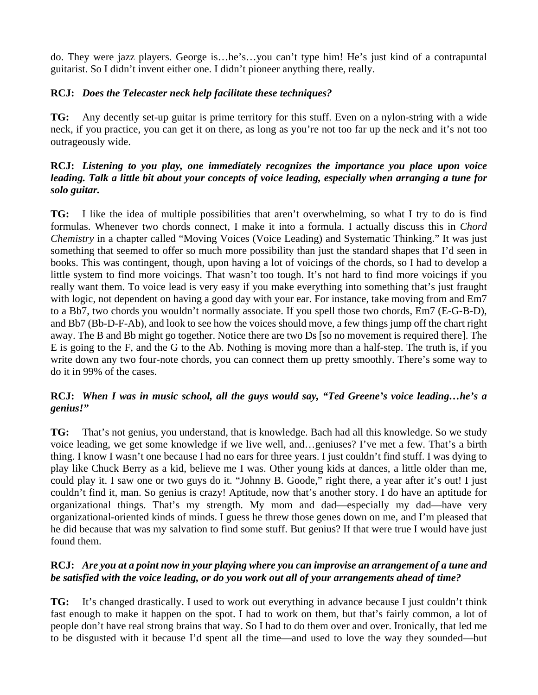do. They were jazz players. George is…he's…you can't type him! He's just kind of a contrapuntal guitarist. So I didn't invent either one. I didn't pioneer anything there, really.

#### **RCJ:** *Does the Telecaster neck help facilitate these techniques?*

**TG:** Any decently set-up guitar is prime territory for this stuff. Even on a nylon-string with a wide neck, if you practice, you can get it on there, as long as you're not too far up the neck and it's not too outrageously wide.

#### **RCJ:** *Listening to you play, one immediately recognizes the importance you place upon voice leading. Talk a little bit about your concepts of voice leading, especially when arranging a tune for solo guitar.*

**TG:** I like the idea of multiple possibilities that aren't overwhelming, so what I try to do is find formulas. Whenever two chords connect, I make it into a formula. I actually discuss this in *[Chord](http://www.alfred.com/Products/Ted-Greene-Chord-Chemistry--00-EL02778.aspx) [Chemistry](http://www.alfred.com/Products/Ted-Greene-Chord-Chemistry--00-EL02778.aspx)* in a chapter called "Moving Voices (Voice Leading) and Systematic Thinking." It was just something that seemed to offer so much more possibility than just the standard shapes that I'd seen in books. This was contingent, though, upon having a lot of voicings of the chords, so I had to develop a little system to find more voicings. That wasn't too tough. It's not hard to find more voicings if you really want them. To voice lead is very easy if you make everything into something that's just fraught with logic, not dependent on having a good day with your ear. For instance, take moving from and Em7 to a Bb7, two chords you wouldn't normally associate. If you spell those two chords, Em7 (E-G-B-D), and Bb7 (Bb-D-F-Ab), and look to see how the voices should move, a few things jump off the chart right away. The B and Bb might go together. Notice there are two Ds [so no movement is required there]. The E is going to the F, and the G to the Ab. Nothing is moving more than a half-step. The truth is, if you write down any two four-note chords, you can connect them up pretty smoothly. There's some way to do it in 99% of the cases.

#### **RCJ:** *When I was in music school, all the guys would say, "Ted Greene's voice leading…he's a genius!"*

**TG:** That's not genius, you understand, that is knowledge. Bach had all this knowledge. So we study voice leading, we get some knowledge if we live well, and…geniuses? I've met a few. That's a birth thing. I know I wasn't one because I had no ears for three years. I just couldn't find stuff. I was dying to play like Chuck Berry as a kid, believe me I was. Other young kids at dances, a little older than me, could play it. I saw one or two guys do it. "Johnny B. Goode," right there, a year after it's out! I just couldn't find it, man. So genius is crazy! Aptitude, now that's another story. I do have an aptitude for organizational things. That's my strength. My mom and dad—especially my dad—have very organizational-oriented kinds of minds. I guess he threw those genes down on me, and I'm pleased that he did because that was my salvation to find some stuff. But genius? If that were true I would have just found them.

#### RCJ: Are you at a point now in your playing where you can improvise an arrangement of a tune and *be satisfied with the voice leading, or do you work out all of your arrangements ahead of time?*

**TG:** It's changed drastically. I used to work out everything in advance because I just couldn't think fast enough to make it happen on the spot. I had to work on them, but that's fairly common, a lot of people don't have real strong brains that way. So I had to do them over and over. Ironically, that led me to be disgusted with it because I'd spent all the time—and used to love the way they sounded—but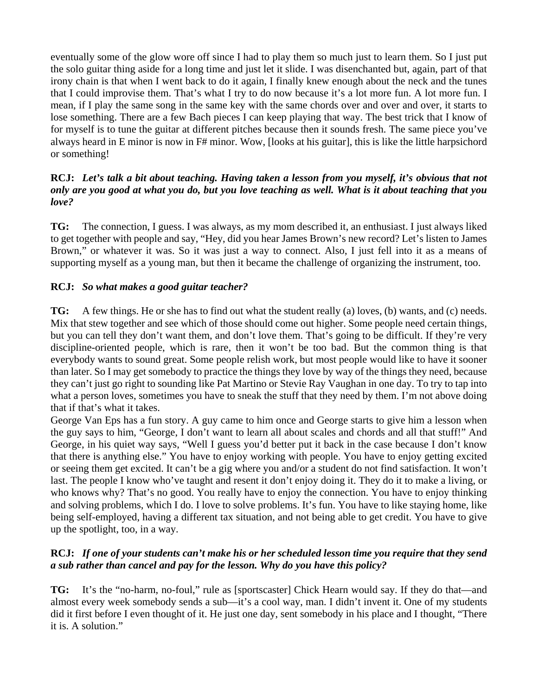eventually some of the glow wore off since I had to play them so much just to learn them. So I just put the solo guitar thing aside for a long time and just let it slide. I was disenchanted but, again, part of that irony chain is that when I went back to do it again, I finally knew enough about the neck and the tunes that I could improvise them. That's what I try to do now because it's a lot more fun. A lot more fun. I mean, if I play the same song in the same key with the same chords over and over and over, it starts to lose something. There are a few Bach pieces I can keep playing that way. The best trick that I know of for myself is to tune the guitar at different pitches because then it sounds fresh. The same piece you've always heard in E minor is now in F# minor. Wow, [looks at his guitar], this is like the little harpsichord or something!

#### **RCJ:** *Let's talk a bit about teaching. Having taken a lesson from you myself, it's obvious that not* only are you good at what you do, but you love teaching as well. What is it about teaching that you *love?*

**TG:** The connection, I guess. I was always, as my mom described it, an enthusiast. I just always liked to get together with people and say, "Hey, did you hear James Brown's new record? Let's listen to James Brown," or whatever it was. So it was just a way to connect. Also, I just fell into it as a means of supporting myself as a young man, but then it became the challenge of organizing the instrument, too.

# **RCJ:** *So what makes a good guitar teacher?*

**TG:** A few things. He or she has to find out what the student really (a) loves, (b) wants, and (c) needs. Mix that stew together and see which of those should come out higher. Some people need certain things, but you can tell they don't want them, and don't love them. That's going to be difficult. If they're very discipline-oriented people, which is rare, then it won't be too bad. But the common thing is that everybody wants to sound great. Some people relish work, but most people would like to have it sooner than later. So I may get somebody to practice the things they love by way of the things they need, because they can't just go right to sounding like Pat Martino or Stevie Ray Vaughan in one day. To try to tap into what a person loves, sometimes you have to sneak the stuff that they need by them. I'm not above doing that if that's what it takes.

George Van Eps has a fun story. A guy came to him once and George starts to give him a lesson when the guy says to him, "George, I don't want to learn all about scales and chords and all that stuff!" And George, in his quiet way says, "Well I guess you'd better put it back in the case because I don't know that there is anything else." You have to enjoy working with people. You have to enjoy getting excited or seeing them get excited. It can't be a gig where you and/or a student do not find satisfaction. It won't last. The people I know who've taught and resent it don't enjoy doing it. They do it to make a living, or who knows why? That's no good. You really have to enjoy the connection. You have to enjoy thinking and solving problems, which I do. I love to solve problems. It's fun. You have to like staying home, like being self-employed, having a different tax situation, and not being able to get credit. You have to give up the spotlight, too, in a way.

#### **RCJ:** If one of your students can't make his or her scheduled lesson time you require that they send *a sub rather than cancel and pay for the lesson. Why do you have this policy?*

**TG:** It's the "no-harm, no-foul," rule as [sportscaster] Chick Hearn would say. If they do that—and almost every week somebody sends a sub—it's a cool way, man. I didn't invent it. One of my students did it first before I even thought of it. He just one day, sent somebody in his place and I thought, "There it is. A solution."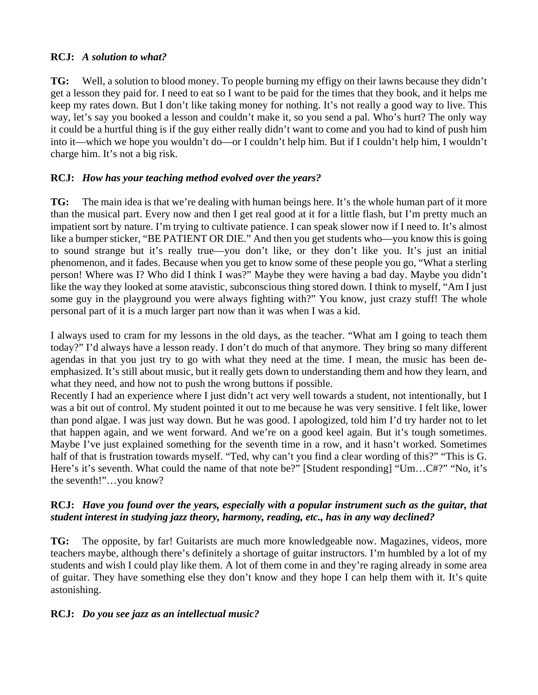#### **RCJ:** *A solution to what?*

**TG:** Well, a solution to blood money. To people burning my effigy on their lawns because they didn't get a lesson they paid for. I need to eat so I want to be paid for the times that they book, and it helps me keep my rates down. But I don't like taking money for nothing. It's not really a good way to live. This way, let's say you booked a lesson and couldn't make it, so you send a pal. Who's hurt? The only way it could be a hurtful thing is if the guy either really didn't want to come and you had to kind of push him into it—which we hope you wouldn't do—or I couldn't help him. But if I couldn't help him, I wouldn't charge him. It's not a big risk.

#### **RCJ:** *How has your teaching method evolved over the years?*

**TG:** The main idea is that we're dealing with human beings here. It's the whole human part of it more than the musical part. Every now and then I get real good at it for a little flash, but I'm pretty much an impatient sort by nature. I'm trying to cultivate patience. I can speak slower now if I need to. It's almost like a bumper sticker, "BE PATIENT OR DIE." And then you get students who—you know this is going to sound strange but it's really true—you don't like, or they don't like you. It's just an initial phenomenon, and it fades. Because when you get to know some of these people you go, "What a sterling person! Where was I? Who did I think I was?" Maybe they were having a bad day. Maybe you didn't like the way they looked at some atavistic, subconscious thing stored down. I think to myself, "Am I just some guy in the playground you were always fighting with?" You know, just crazy stuff! The whole personal part of it is a much larger part now than it was when I was a kid.

I always used to cram for my lessons in the old days, as the teacher. "What am I going to teach them today?" I'd always have a lesson ready. I don't do much of that anymore. They bring so many different agendas in that you just try to go with what they need at the time. I mean, the music has been deemphasized. It's still about music, but it really gets down to understanding them and how they learn, and what they need, and how not to push the wrong buttons if possible.

Recently I had an experience where I just didn't act very well towards a student, not intentionally, but I was a bit out of control. My student pointed it out to me because he was very sensitive. I felt like, lower than pond algae. I was just way down. But he was good. I apologized, told him I'd try harder not to let that happen again, and we went forward. And we're on a good keel again. But it's tough sometimes. Maybe I've just explained something for the seventh time in a row, and it hasn't worked. Sometimes half of that is frustration towards myself. "Ted, why can't you find a clear wording of this?" "This is G. Here's it's seventh. What could the name of that note be?" [Student responding] "Um...C#?" "No, it's the seventh!"…you know?

#### **RCJ:** *Have you found over the years, especially with a popular instrument such as the guitar, that student interest in studying jazz theory, harmony, reading, etc., has in any way declined?*

**TG:** The opposite, by far! Guitarists are much more knowledgeable now. Magazines, videos, more teachers maybe, although there's definitely a shortage of guitar instructors. I'm humbled by a lot of my students and wish I could play like them. A lot of them come in and they're raging already in some area of guitar. They have something else they don't know and they hope I can help them with it. It's quite astonishing.

#### **RCJ:** *Do you see jazz as an intellectual music?*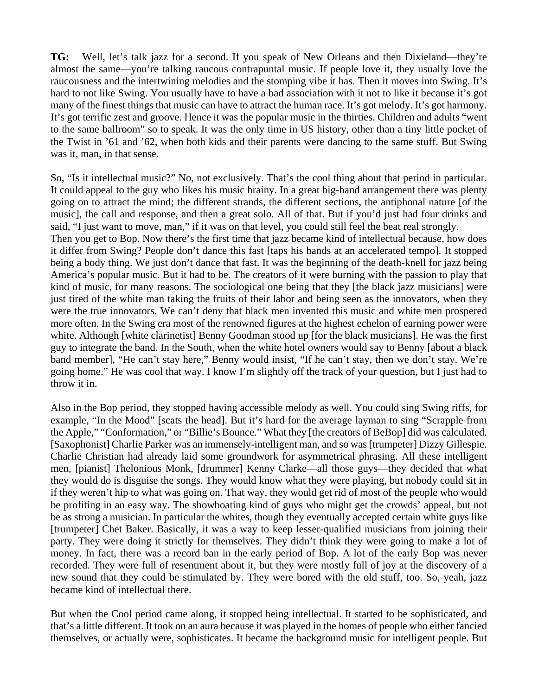**TG:** Well, let's talk jazz for a second. If you speak of New Orleans and then Dixieland—they're almost the same—you're talking raucous contrapuntal music. If people love it, they usually love the raucousness and the intertwining melodies and the stomping vibe it has. Then it moves into Swing. It's hard to not like Swing. You usually have to have a bad association with it not to like it because it's got many of the finest things that music can have to attract the human race. It's got melody. It's got harmony. It's got terrific zest and groove. Hence it was the popular music in the thirties. Children and adults "went to the same ballroom" so to speak. It was the only time in US history, other than a tiny little pocket of the Twist in '61 and '62, when both kids and their parents were dancing to the same stuff. But Swing was it, man, in that sense.

So, "Is it intellectual music?" No, not exclusively. That's the cool thing about that period in particular. It could appeal to the guy who likes his music brainy. In a great big-band arrangement there was plenty going on to attract the mind; the different strands, the different sections, the antiphonal nature [of the music], the call and response, and then a great solo. All of that. But if you'd just had four drinks and said, "I just want to move, man," if it was on that level, you could still feel the beat real strongly. Then you get to Bop. Now there's the first time that jazz became kind of intellectual because, how does it differ from Swing? People don't dance this fast [taps his hands at an accelerated tempo]. It stopped being a body thing. We just don't dance that fast. It was the beginning of the death-knell for jazz being America's popular music. But it had to be. The creators of it were burning with the passion to play that kind of music, for many reasons. The sociological one being that they [the black jazz musicians] were just tired of the white man taking the fruits of their labor and being seen as the innovators, when they were the true innovators. We can't deny that black men invented this music and white men prospered more often. In the Swing era most of the renowned figures at the highest echelon of earning power were white. Although [white clarinetist] Benny Goodman stood up [for the black musicians]. He was the first guy to integrate the band. In the South, when the white hotel owners would say to Benny [about a black band member], "He can't stay here," Benny would insist, "If he can't stay, then we don't stay. We're going home." He was cool that way. I know I'm slightly off the track of your question, but I just had to throw it in.

Also in the Bop period, they stopped having accessible melody as well. You could sing Swing riffs, for example, "In the Mood" [scats the head]. But it's hard for the average layman to sing "Scrapple from the Apple," "Conformation," or "Billie's Bounce." What they [the creators of BeBop] did was calculated. [Saxophonist] Charlie Parker was an immensely-intelligent man, and so was [trumpeter] Dizzy Gillespie. Charlie Christian had already laid some groundwork for asymmetrical phrasing. All these intelligent men, [pianist] Thelonious Monk, [drummer] Kenny Clarke—all those guys—they decided that what they would do is disguise the songs. They would know what they were playing, but nobody could sit in if they weren't hip to what was going on. That way, they would get rid of most of the people who would be profiting in an easy way. The showboating kind of guys who might get the crowds' appeal, but not be as strong a musician. In particular the whites, though they eventually accepted certain white guys like [trumpeter] Chet Baker. Basically, it was a way to keep lesser-qualified musicians from joining their party. They were doing it strictly for themselves. They didn't think they were going to make a lot of money. In fact, there was a record ban in the early period of Bop. A lot of the early Bop was never recorded. They were full of resentment about it, but they were mostly full of joy at the discovery of a new sound that they could be stimulated by. They were bored with the old stuff, too. So, yeah, jazz became kind of intellectual there.

But when the Cool period came along, it stopped being intellectual. It started to be sophisticated, and that's a little different. It took on an aura because it was played in the homes of people who either fancied themselves, or actually were, sophisticates. It became the background music for intelligent people. But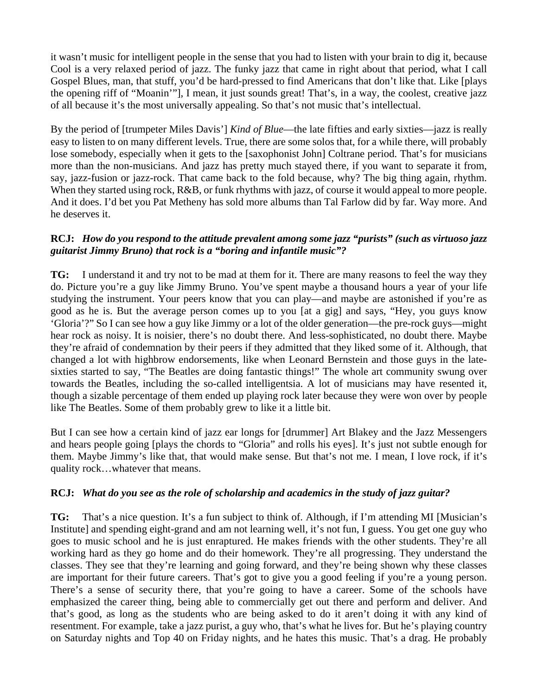it wasn't music for intelligent people in the sense that you had to listen with your brain to dig it, because Cool is a very relaxed period of jazz. The funky jazz that came in right about that period, what I call Gospel Blues, man, that stuff, you'd be hard-pressed to find Americans that don't like that. Like [plays the opening riff of "Moanin'"], I mean, it just sounds great! That's, in a way, the coolest, creative jazz of all because it's the most universally appealing. So that's not music that's intellectual.

By the period of [trumpeter Miles Davis'] *Kind of Blue*—the late fifties and early sixties—jazz is really easy to listen to on many different levels. True, there are some solos that, for a while there, will probably lose somebody, especially when it gets to the [saxophonist John] Coltrane period. That's for musicians more than the non-musicians. And jazz has pretty much stayed there, if you want to separate it from, say, jazz-fusion or jazz-rock. That came back to the fold because, why? The big thing again, rhythm. When they started using rock,  $R&B$ , or funk rhythms with jazz, of course it would appeal to more people. And it does. I'd bet you Pat Metheny has sold more albums than Tal Farlow did by far. Way more. And he deserves it.

#### **RCJ:** *How do you respond to the attitude prevalent among some jazz "purists" (such as virtuoso jazz guitarist Jimmy Bruno) that rock is a "boring and infantile music"?*

**TG:** I understand it and try not to be mad at them for it. There are many reasons to feel the way they do. Picture you're a guy like Jimmy Bruno. You've spent maybe a thousand hours a year of your life studying the instrument. Your peers know that you can play—and maybe are astonished if you're as good as he is. But the average person comes up to you [at a gig] and says, "Hey, you guys know 'Gloria'?" So I can see how a guy like Jimmy or a lot of the older generation—the pre-rock guys—might hear rock as noisy. It is noisier, there's no doubt there. And less-sophisticated, no doubt there. Maybe they're afraid of condemnation by their peers if they admitted that they liked some of it. Although, that changed a lot with highbrow endorsements, like when Leonard Bernstein and those guys in the latesixties started to say, "The Beatles are doing fantastic things!" The whole art community swung over towards the Beatles, including the so-called intelligentsia. A lot of musicians may have resented it, though a sizable percentage of them ended up playing rock later because they were won over by people like The Beatles. Some of them probably grew to like it a little bit.

But I can see how a certain kind of jazz ear longs for [drummer] Art Blakey and the Jazz Messengers and hears people going [plays the chords to "Gloria" and rolls his eyes]. It's just not subtle enough for them. Maybe Jimmy's like that, that would make sense. But that's not me. I mean, I love rock, if it's quality rock…whatever that means.

#### **RCJ:** *What do you see as the role of scholarship and academics in the study of jazz guitar?*

**TG:** That's a nice question. It's a fun subject to think of. Although, if I'm attending MI [Musician's Institute] and spending eight-grand and am not learning well, it's not fun, I guess. You get one guy who goes to music school and he is just enraptured. He makes friends with the other students. They're all working hard as they go home and do their homework. They're all progressing. They understand the classes. They see that they're learning and going forward, and they're being shown why these classes are important for their future careers. That's got to give you a good feeling if you're a young person. There's a sense of security there, that you're going to have a career. Some of the schools have emphasized the career thing, being able to commercially get out there and perform and deliver. And that's good, as long as the students who are being asked to do it aren't doing it with any kind of resentment. For example, take a jazz purist, a guy who, that's what he lives for. But he's playing country on Saturday nights and Top 40 on Friday nights, and he hates this music. That's a drag. He probably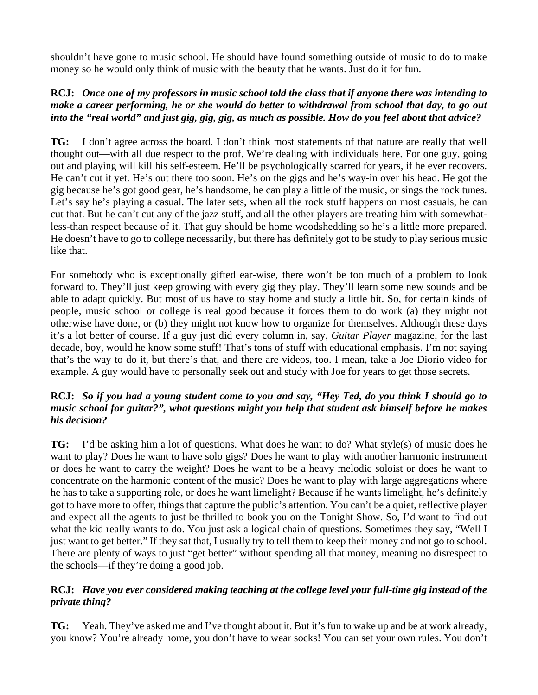shouldn't have gone to music school. He should have found something outside of music to do to make money so he would only think of music with the beauty that he wants. Just do it for fun.

### **RCJ:** Once one of my professors in music school told the class that if anyone there was intending to make a career performing, he or she would do better to withdrawal from school that day, to go out into the "real world" and just gig, gig, gig, as much as possible. How do you feel about that advice?

**TG:** I don't agree across the board. I don't think most statements of that nature are really that well thought out—with all due respect to the prof. We're dealing with individuals here. For one guy, going out and playing will kill his self-esteem. He'll be psychologically scarred for years, if he ever recovers. He can't cut it yet. He's out there too soon. He's on the gigs and he's way-in over his head. He got the gig because he's got good gear, he's handsome, he can play a little of the music, or sings the rock tunes. Let's say he's playing a casual. The later sets, when all the rock stuff happens on most casuals, he can cut that. But he can't cut any of the jazz stuff, and all the other players are treating him with somewhatless-than respect because of it. That guy should be home woodshedding so he's a little more prepared. He doesn't have to go to college necessarily, but there has definitely got to be study to play serious music like that.

For somebody who is exceptionally gifted ear-wise, there won't be too much of a problem to look forward to. They'll just keep growing with every gig they play. They'll learn some new sounds and be able to adapt quickly. But most of us have to stay home and study a little bit. So, for certain kinds of people, music school or college is real good because it forces them to do work (a) they might not otherwise have done, or (b) they might not know how to organize for themselves. Although these days it's a lot better of course. If a guy just did every column in, say, *Guitar Player* magazine, for the last decade, boy, would he know some stuff! That's tons of stuff with educational emphasis. I'm not saying that's the way to do it, but there's that, and there are videos, too. I mean, take a Joe Diorio video for example. A guy would have to personally seek out and study with Joe for years to get those secrets.

## RCJ: So if you had a young student come to you and say, "Hey Ted, do you think I should go to *music school for guitar?", what questions might you help that student ask himself before he makes his decision?*

**TG:** I'd be asking him a lot of questions. What does he want to do? What style(s) of music does he want to play? Does he want to have solo gigs? Does he want to play with another harmonic instrument or does he want to carry the weight? Does he want to be a heavy melodic soloist or does he want to concentrate on the harmonic content of the music? Does he want to play with large aggregations where he has to take a supporting role, or does he want limelight? Because if he wants limelight, he's definitely got to have more to offer, things that capture the public's attention. You can't be a quiet, reflective player and expect all the agents to just be thrilled to book you on the Tonight Show. So, I'd want to find out what the kid really wants to do. You just ask a logical chain of questions. Sometimes they say, "Well I just want to get better." If they sat that, I usually try to tell them to keep their money and not go to school. There are plenty of ways to just "get better" without spending all that money, meaning no disrespect to the schools—if they're doing a good job.

## **RCJ:** *Have you ever considered making teaching at the college level your full-time gig instead of the private thing?*

**TG:** Yeah. They've asked me and I've thought about it. But it's fun to wake up and be at work already, you know? You're already home, you don't have to wear socks! You can set your own rules. You don't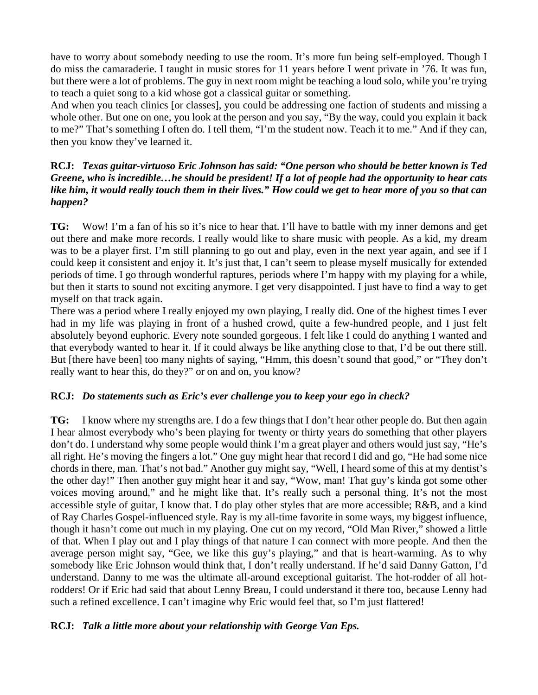have to worry about somebody needing to use the room. It's more fun being self-employed. Though I do miss the camaraderie. I taught in music stores for 11 years before I went private in '76. It was fun, but there were a lot of problems. The guy in next room might be teaching a loud solo, while you're trying to teach a quiet song to a kid whose got a classical guitar or something.

And when you teach clinics [or classes], you could be addressing one faction of students and missing a whole other. But one on one, you look at the person and you say, "By the way, could you explain it back to me?" That's something I often do. I tell them, "I'm the student now. Teach it to me." And if they can, then you know they've learned it.

#### **RCJ:** *Texas guitar-virtuoso Eric Johnson has said: "One person who should be better known is Ted* Greene, who is incredible...he should be president! If a lot of people had the opportunity to hear cats like him, it would really touch them in their lives." How could we get to hear more of you so that can *happen?*

**TG:** Wow! I'm a fan of his so it's nice to hear that. I'll have to battle with my inner demons and get out there and make more records. I really would like to share music with people. As a kid, my dream was to be a player first. I'm still planning to go out and play, even in the next year again, and see if I could keep it consistent and enjoy it. It's just that, I can't seem to please myself musically for extended periods of time. I go through wonderful raptures, periods where I'm happy with my playing for a while, but then it starts to sound not exciting anymore. I get very disappointed. I just have to find a way to get myself on that track again.

There was a period where I really enjoyed my own playing, I really did. One of the highest times I ever had in my life was playing in front of a hushed crowd, quite a few-hundred people, and I just felt absolutely beyond euphoric. Every note sounded gorgeous. I felt like I could do anything I wanted and that everybody wanted to hear it. If it could always be like anything close to that, I'd be out there still. But [there have been] too many nights of saying, "Hmm, this doesn't sound that good," or "They don't really want to hear this, do they?" or on and on, you know?

# **RCJ:** *Do statements such as Eric's ever challenge you to keep your ego in check?*

**TG:** I know where my strengths are. I do a few things that I don't hear other people do. But then again I hear almost everybody who's been playing for twenty or thirty years do something that other players don't do. I understand why some people would think I'm a great player and others would just say, "He's all right. He's moving the fingers a lot." One guy might hear that record I did and go, "He had some nice chords in there, man. That's not bad." Another guy might say, "Well, I heard some of this at my dentist's the other day!" Then another guy might hear it and say, "Wow, man! That guy's kinda got some other voices moving around," and he might like that. It's really such a personal thing. It's not the most accessible style of guitar, I know that. I do play other styles that are more accessible; R&B, and a kind of Ray Charles Gospel-influenced style. Ray is my all-time favorite in some ways, my biggest influence, though it hasn't come out much in my playing. One cut on my record, "Old Man River," showed a little of that. When I play out and I play things of that nature I can connect with more people. And then the average person might say, "Gee, we like this guy's playing," and that is heart-warming. As to why somebody like Eric Johnson would think that, I don't really understand. If he'd said Danny Gatton, I'd understand. Danny to me was the ultimate all-around exceptional guitarist. The hot-rodder of all hotrodders! Or if Eric had said that about Lenny Breau, I could understand it there too, because Lenny had such a refined excellence. I can't imagine why Eric would feel that, so I'm just flattered!

#### **RCJ:** *Talk a little more about your relationship with George Van Eps.*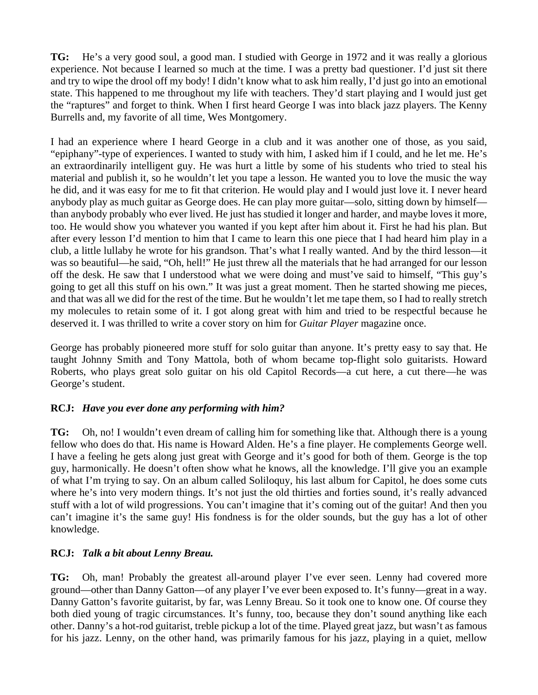**TG:** He's a very good soul, a good man. I studied with George in 1972 and it was really a glorious experience. Not because I learned so much at the time. I was a pretty bad questioner. I'd just sit there and try to wipe the drool off my body! I didn't know what to ask him really, I'd just go into an emotional state. This happened to me throughout my life with teachers. They'd start playing and I would just get the "raptures" and forget to think. When I first heard George I was into black jazz players. The Kenny Burrells and, my favorite of all time, Wes Montgomery.

I had an experience where I heard George in a club and it was another one of those, as you said, "epiphany"-type of experiences. I wanted to study with him, I asked him if I could, and he let me. He's an extraordinarily intelligent guy. He was hurt a little by some of his students who tried to steal his material and publish it, so he wouldn't let you tape a lesson. He wanted you to love the music the way he did, and it was easy for me to fit that criterion. He would play and I would just love it. I never heard anybody play as much guitar as George does. He can play more guitar—solo, sitting down by himself than anybody probably who ever lived. He just has studied it longer and harder, and maybe loves it more, too. He would show you whatever you wanted if you kept after him about it. First he had his plan. But after every lesson I'd mention to him that I came to learn this one piece that I had heard him play in a club, a little lullaby he wrote for his grandson. That's what I really wanted. And by the third lesson—it was so beautiful—he said, "Oh, hell!" He just threw all the materials that he had arranged for our lesson off the desk. He saw that I understood what we were doing and must've said to himself, "This guy's going to get all this stuff on his own." It was just a great moment. Then he started showing me pieces, and that was all we did for the rest of the time. But he wouldn't let me tape them, so I had to really stretch my molecules to retain some of it. I got along great with him and tried to be respectful because he deserved it. I was thrilled to write a cover story on him for *Guitar Player* magazine once.

George has probably pioneered more stuff for solo guitar than anyone. It's pretty easy to say that. He taught Johnny Smith and Tony Mattola, both of whom became top-flight solo guitarists. Howard Roberts, who plays great solo guitar on his old Capitol Records—a cut here, a cut there—he was George's student.

# **RCJ:** *Have you ever done any performing with him?*

**TG:** Oh, no! I wouldn't even dream of calling him for something like that. Although there is a young fellow who does do that. His name is Howard Alden. He's a fine player. He complements George well. I have a feeling he gets along just great with George and it's good for both of them. George is the top guy, harmonically. He doesn't often show what he knows, all the knowledge. I'll give you an example of what I'm trying to say. On an album called Soliloquy, his last album for Capitol, he does some cuts where he's into very modern things. It's not just the old thirties and forties sound, it's really advanced stuff with a lot of wild progressions. You can't imagine that it's coming out of the guitar! And then you can't imagine it's the same guy! His fondness is for the older sounds, but the guy has a lot of other knowledge.

#### **RCJ:** *Talk a bit about Lenny Breau.*

**TG:** Oh, man! Probably the greatest all-around player I've ever seen. Lenny had covered more ground—other than Danny Gatton—of any player I've ever been exposed to. It's funny—great in a way. Danny Gatton's favorite guitarist, by far, was Lenny Breau. So it took one to know one. Of course they both died young of tragic circumstances. It's funny, too, because they don't sound anything like each other. Danny's a hot-rod guitarist, treble pickup a lot of the time. Played great jazz, but wasn't as famous for his jazz. Lenny, on the other hand, was primarily famous for his jazz, playing in a quiet, mellow